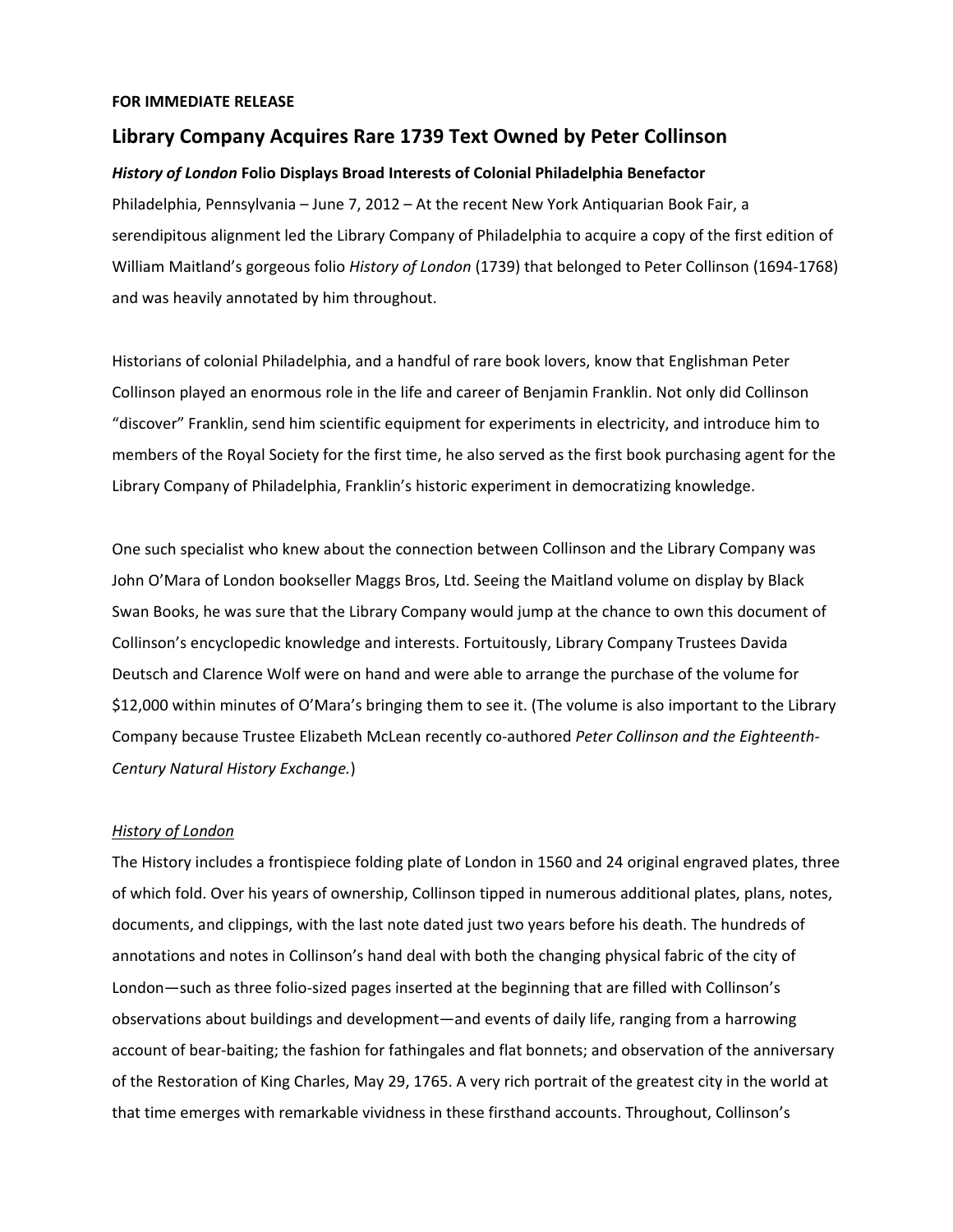#### **FOR IMMEDIATE RELEASE**

# **Library Company Acquires Rare 1739 Text Owned by Peter Collinson**

### *History of London* **Folio Displays Broad Interests of Colonial Philadelphia Benefactor**

Philadelphia, Pennsylvania – June 7, 2012 – At the recent New York Antiquarian Book Fair, a serendipitous alignment led the Library Company of Philadelphia to acquire a copy of the first edition of William Maitland's gorgeous folio *History of London* (1739) that belonged to Peter Collinson (1694‐1768) and was heavily annotated by him throughout.

Historians of colonial Philadelphia, and a handful of rare book lovers, know that Englishman Peter Collinson played an enormous role in the life and career of Benjamin Franklin. Not only did Collinson "discover" Franklin, send him scientific equipment for experiments in electricity, and introduce him to members of the Royal Society for the first time, he also served as the first book purchasing agent for the Library Company of Philadelphia, Franklin's historic experiment in democratizing knowledge.

One such specialist who knew about the connection between Collinson and the Library Company was John O'Mara of London bookseller Maggs Bros, Ltd. Seeing the Maitland volume on display by Black Swan Books, he was sure that the Library Company would jump at the chance to own this document of Collinson's encyclopedic knowledge and interests. Fortuitously, Library Company Trustees Davida Deutsch and Clarence Wolf were on hand and were able to arrange the purchase of the volume for \$12,000 within minutes of O'Mara's bringing them to see it. (The volume is also important to the Library Company because Trustee Elizabeth McLean recently co‐authored *Peter Collinson and the Eighteenth‐ Century Natural History Exchange.*)

### *History of London*

The History includes a frontispiece folding plate of London in 1560 and 24 original engraved plates, three of which fold. Over his years of ownership, Collinson tipped in numerous additional plates, plans, notes, documents, and clippings, with the last note dated just two years before his death. The hundreds of annotations and notes in Collinson's hand deal with both the changing physical fabric of the city of London—such as three folio-sized pages inserted at the beginning that are filled with Collinson's observations about buildings and development—and events of daily life, ranging from a harrowing account of bear‐baiting; the fashion for fathingales and flat bonnets; and observation of the anniversary of the Restoration of King Charles, May 29, 1765. A very rich portrait of the greatest city in the world at that time emerges with remarkable vividness in these firsthand accounts. Throughout, Collinson's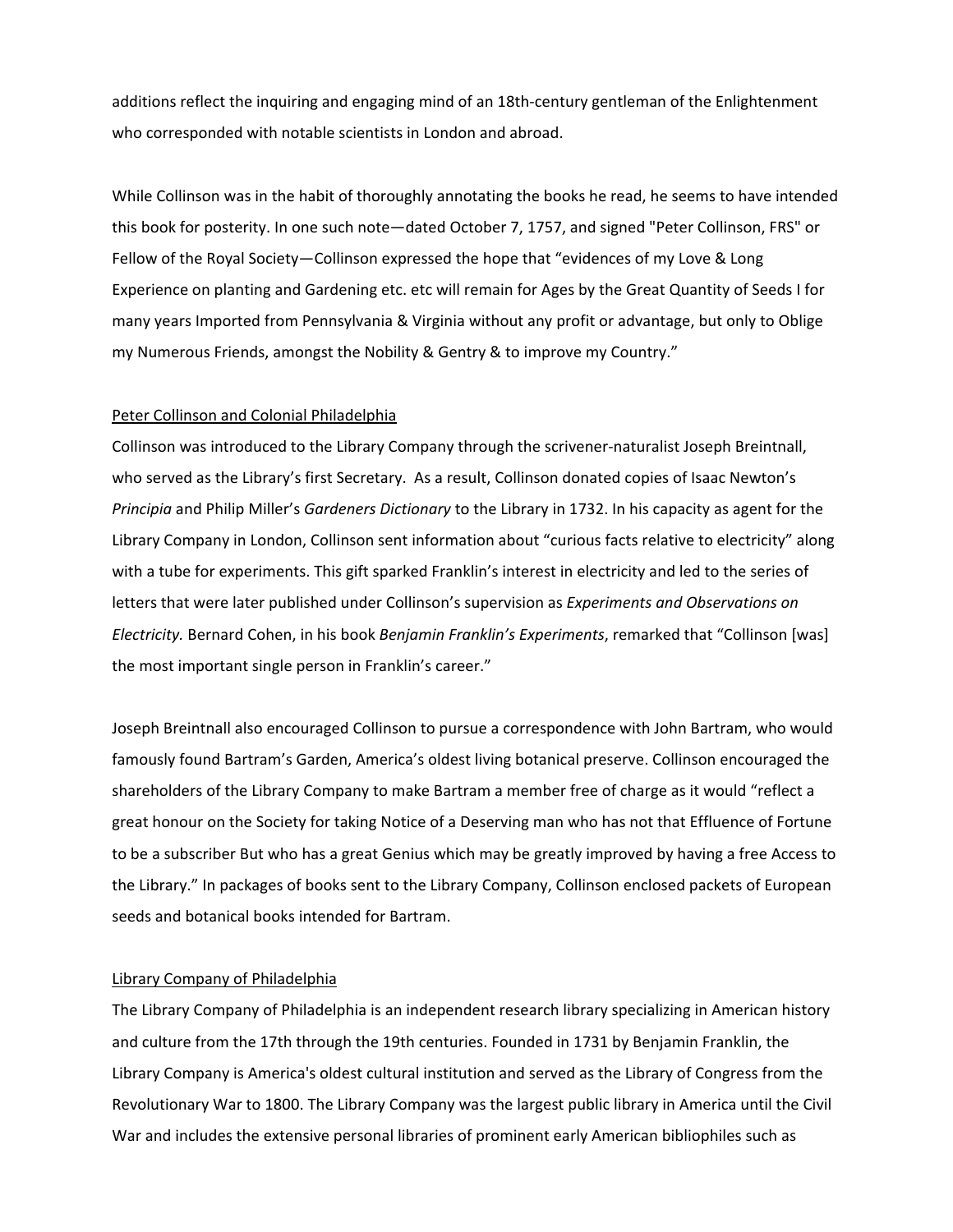additions reflect the inquiring and engaging mind of an 18th-century gentleman of the Enlightenment who corresponded with notable scientists in London and abroad.

While Collinson was in the habit of thoroughly annotating the books he read, he seems to have intended this book for posterity. In one such note—dated October 7, 1757, and signed "Peter Collinson, FRS" or Fellow of the Royal Society—Collinson expressed the hope that "evidences of my Love & Long Experience on planting and Gardening etc. etc will remain for Ages by the Great Quantity of Seeds I for many years Imported from Pennsylvania & Virginia without any profit or advantage, but only to Oblige my Numerous Friends, amongst the Nobility & Gentry & to improve my Country."

#### Peter Collinson and Colonial Philadelphia

Collinson was introduced to the Library Company through the scrivener‐naturalist Joseph Breintnall, who served as the Library's first Secretary. As a result, Collinson donated copies of Isaac Newton's *Principia* and Philip Miller's *Gardeners Dictionary* to the Library in 1732. In his capacity as agent for the Library Company in London, Collinson sent information about "curious facts relative to electricity" along with a tube for experiments. This gift sparked Franklin's interest in electricity and led to the series of letters that were later published under Collinson's supervision as *Experiments and Observations on Electricity.* Bernard Cohen, in his book *Benjamin Franklin's Experiments*, remarked that "Collinson [was] the most important single person in Franklin's career."

Joseph Breintnall also encouraged Collinson to pursue a correspondence with John Bartram, who would famously found Bartram's Garden, America's oldest living botanical preserve. Collinson encouraged the shareholders of the Library Company to make Bartram a member free of charge as it would "reflect a great honour on the Society for taking Notice of a Deserving man who has not that Effluence of Fortune to be a subscriber But who has a great Genius which may be greatly improved by having a free Access to the Library." In packages of books sent to the Library Company, Collinson enclosed packets of European seeds and botanical books intended for Bartram.

## Library Company of Philadelphia

The Library Company of Philadelphia is an independent research library specializing in American history and culture from the 17th through the 19th centuries. Founded in 1731 by Benjamin Franklin, the Library Company is America's oldest cultural institution and served as the Library of Congress from the Revolutionary War to 1800. The Library Company was the largest public library in America until the Civil War and includes the extensive personal libraries of prominent early American bibliophiles such as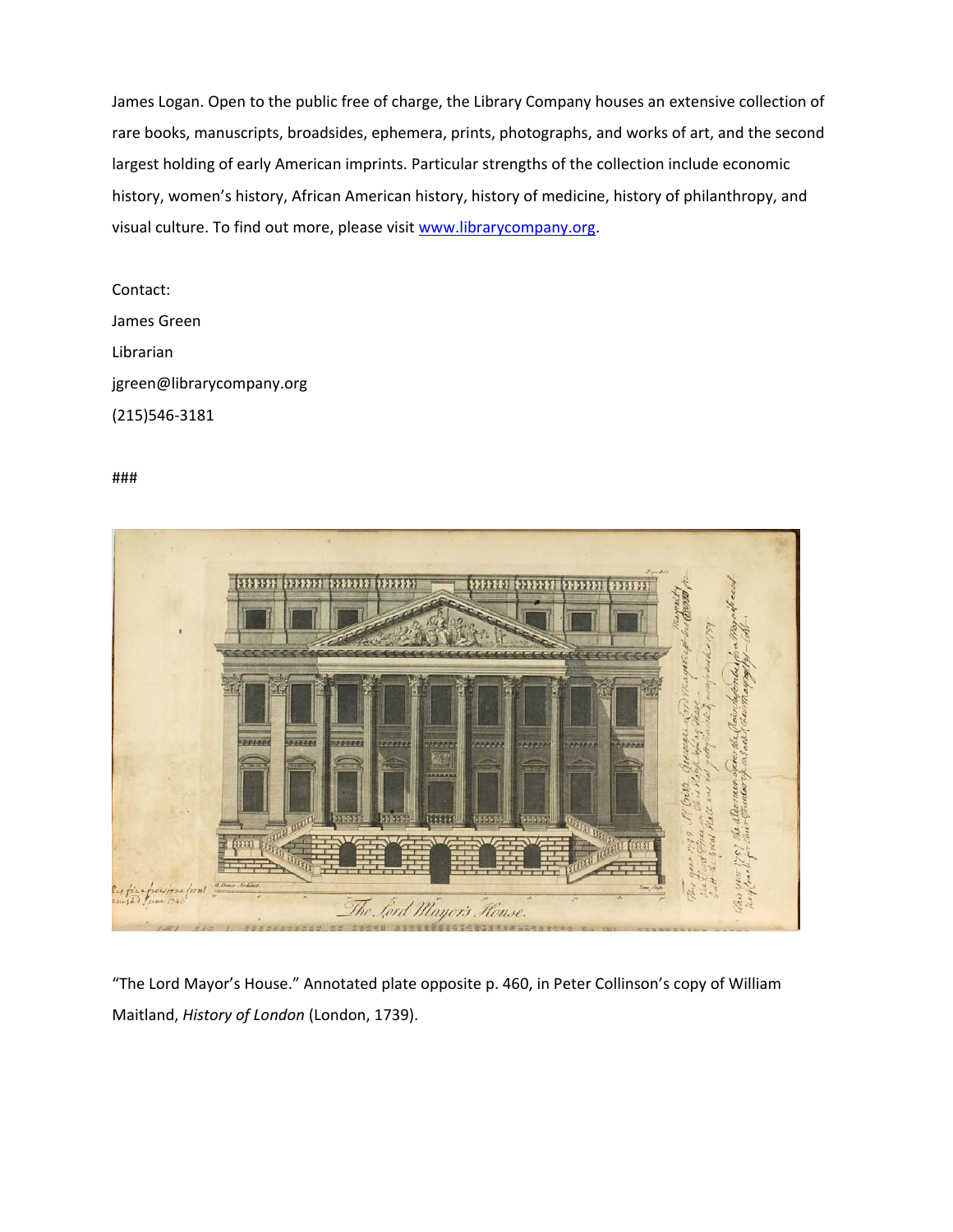James Logan. Open to the public free of charge, the Library Company houses an extensive collection of rare books, manuscripts, broadsides, ephemera, prints, photographs, and works of art, and the second largest holding of early American imprints. Particular strengths of the collection include economic history, women's history, African American history, history of medicine, history of philanthropy, and visual culture. To find out more, please visit www.librarycompany.org.

Contact: James Green Librarian jgreen@librarycompany.org (215)546‐3181

###



"The Lord Mayor's House." Annotated plate opposite p. 460, in Peter Collinson's copy of William Maitland, *History of London* (London, 1739).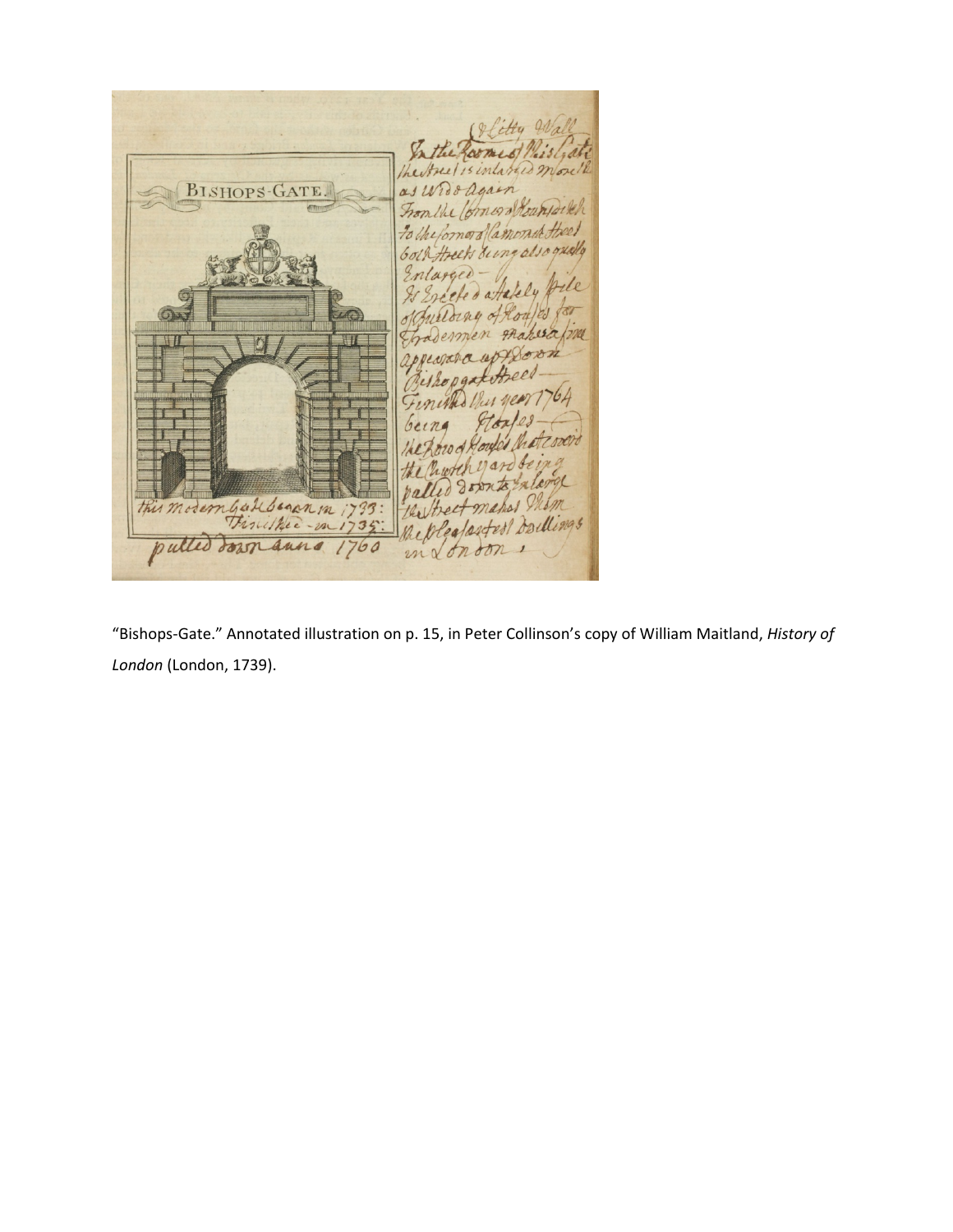litty W In the Roome of Phis light the Street is intarged morelle as wroo again **BISHOPS-GATE.** From the Comer Mountaine to the former of Camomic Street both theets dung also gually nlag A Houles  $k$ 2200 Mahera  $\overline{0}$ party.  $64$ Finished Clus year being Chatesoers the horse of Houses yardee tti alarge g palled this modern Gall banan in 1733: Vhim the trees ahod the pleasastest Dellings pulled down anna 1760 m&onoon,

"Bishops‐Gate." Annotated illustration on p. 15, in Peter Collinson's copy of William Maitland, *History of London* (London, 1739).